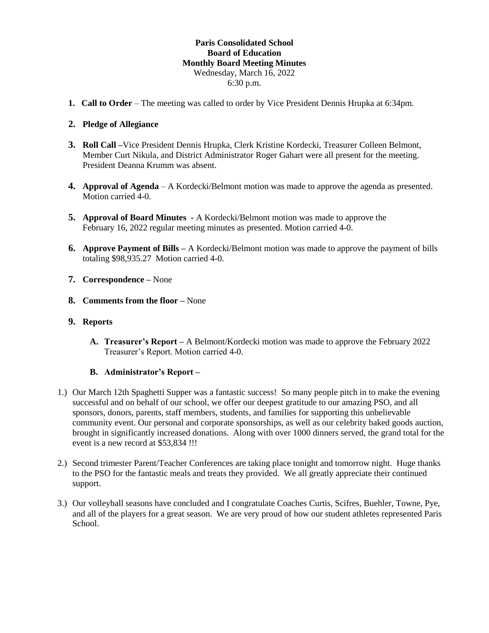# **Paris Consolidated School Board of Education Monthly Board Meeting Minutes** Wednesday, March 16, 2022 6:30 p.m.

**1. Call to Order** – The meeting was called to order by Vice President Dennis Hrupka at 6:34pm.

# **2. Pledge of Allegiance**

- **3. Roll Call –**Vice President Dennis Hrupka, Clerk Kristine Kordecki, Treasurer Colleen Belmont, Member Curt Nikula, and District Administrator Roger Gahart were all present for the meeting. President Deanna Krumm was absent.
- **4. Approval of Agenda** A Kordecki/Belmont motion was made to approve the agenda as presented. Motion carried 4-0.
- **5. Approval of Board Minutes -** A Kordecki/Belmont motion was made to approve the February 16, 2022 regular meeting minutes as presented. Motion carried 4-0.
- **6. Approve Payment of Bills –** A Kordecki/Belmont motion was made to approve the payment of bills totaling \$98,935.27 Motion carried 4-0.
- **7. Correspondence –** None
- **8. Comments from the floor –** None
- **9. Reports**
	- **A. Treasurer's Report –** A Belmont/Kordecki motion was made to approve the February 2022 Treasurer's Report. Motion carried 4-0.

### **B. Administrator's Report –**

- 1.) Our March 12th Spaghetti Supper was a fantastic success! So many people pitch in to make the evening successful and on behalf of our school, we offer our deepest gratitude to our amazing PSO, and all sponsors, donors, parents, staff members, students, and families for supporting this unbelievable community event. Our personal and corporate sponsorships, as well as our celebrity baked goods auction, brought in significantly increased donations. Along with over 1000 dinners served, the grand total for the event is a new record at \$53,834 !!!
- 2.) Second trimester Parent/Teacher Conferences are taking place tonight and tomorrow night. Huge thanks to the PSO for the fantastic meals and treats they provided. We all greatly appreciate their continued support.
- 3.) Our volleyball seasons have concluded and I congratulate Coaches Curtis, Scifres, Buehler, Towne, Pye, and all of the players for a great season. We are very proud of how our student athletes represented Paris School.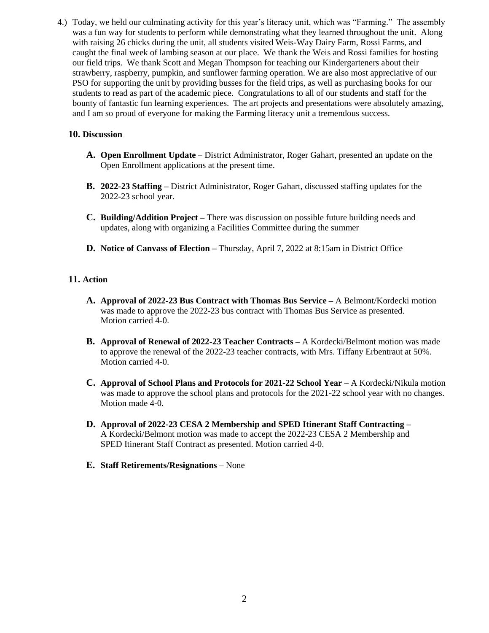4.) Today, we held our culminating activity for this year's literacy unit, which was "Farming." The assembly was a fun way for students to perform while demonstrating what they learned throughout the unit. Along with raising 26 chicks during the unit, all students visited Weis-Way Dairy Farm, Rossi Farms, and caught the final week of lambing season at our place. We thank the Weis and Rossi families for hosting our field trips. We thank Scott and Megan Thompson for teaching our Kindergarteners about their strawberry, raspberry, pumpkin, and sunflower farming operation. We are also most appreciative of our PSO for supporting the unit by providing busses for the field trips, as well as purchasing books for our students to read as part of the academic piece. Congratulations to all of our students and staff for the bounty of fantastic fun learning experiences. The art projects and presentations were absolutely amazing, and I am so proud of everyone for making the Farming literacy unit a tremendous success.

# **10. Discussion**

- **A. Open Enrollment Update –** District Administrator, Roger Gahart, presented an update on the Open Enrollment applications at the present time.
- **B. 2022-23 Staffing –** District Administrator, Roger Gahart, discussed staffing updates for the 2022-23 school year.
- **C. Building/Addition Project –** There was discussion on possible future building needs and updates, along with organizing a Facilities Committee during the summer
- **D. Notice of Canvass of Election –** Thursday, April 7, 2022 at 8:15am in District Office

# **11. Action**

- **A. Approval of 2022-23 Bus Contract with Thomas Bus Service –** A Belmont/Kordecki motion was made to approve the 2022-23 bus contract with Thomas Bus Service as presented. Motion carried 4-0.
- **B. Approval of Renewal of 2022-23 Teacher Contracts –** A Kordecki/Belmont motion was made to approve the renewal of the 2022-23 teacher contracts, with Mrs. Tiffany Erbentraut at 50%. Motion carried 4-0.
- **C. Approval of School Plans and Protocols for 2021-22 School Year –** A Kordecki/Nikula motion was made to approve the school plans and protocols for the 2021-22 school year with no changes. Motion made 4-0.
- **D. Approval of 2022-23 CESA 2 Membership and SPED Itinerant Staff Contracting –** A Kordecki/Belmont motion was made to accept the 2022-23 CESA 2 Membership and SPED Itinerant Staff Contract as presented. Motion carried 4-0.
- **E. Staff Retirements/Resignations** None